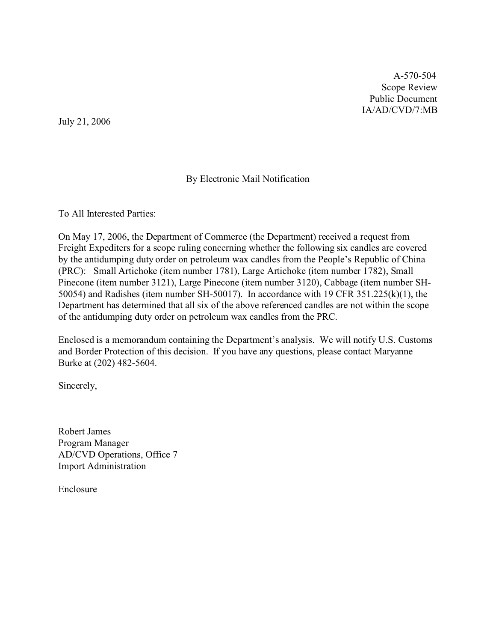A-570-504 Scope Review Public Document IA/AD/CVD/7:MB

July 21, 2006

## By Electronic Mail Notification

To All Interested Parties:

On May 17, 2006, the Department of Commerce (the Department) received a request from Freight Expediters for a scope ruling concerning whether the following six candles are covered by the antidumping duty order on petroleum wax candles from the People's Republic of China (PRC): Small Artichoke (item number 1781), Large Artichoke (item number 1782), Small Pinecone (item number 3121), Large Pinecone (item number 3120), Cabbage (item number SH-50054) and Radishes (item number SH-50017). In accordance with 19 CFR 351.225(k)(1), the Department has determined that all six of the above referenced candles are not within the scope of the antidumping duty order on petroleum wax candles from the PRC.

Enclosed is a memorandum containing the Department's analysis. We will notify U.S. Customs and Border Protection of this decision. If you have any questions, please contact Maryanne Burke at (202) 482-5604.

Sincerely,

Robert James Program Manager AD/CVD Operations, Office 7 Import Administration

Enclosure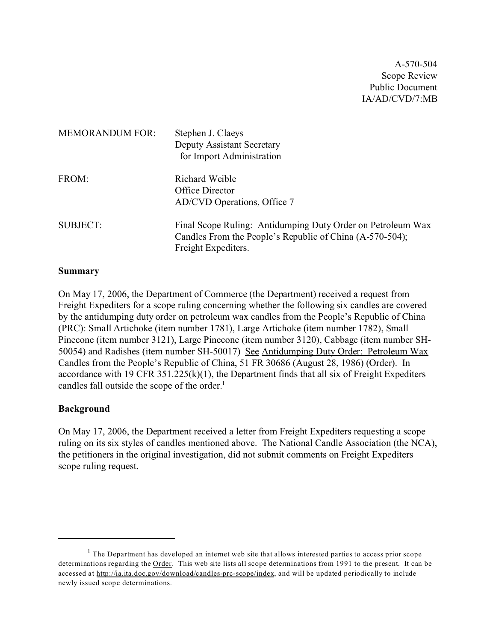A-570-504 Scope Review Public Document IA/AD/CVD/7:MB

| <b>MEMORANDUM FOR:</b> | Stephen J. Claeys<br><b>Deputy Assistant Secretary</b><br>for Import Administration                                                            |
|------------------------|------------------------------------------------------------------------------------------------------------------------------------------------|
| FROM:                  | Richard Weible<br>Office Director<br>AD/CVD Operations, Office 7                                                                               |
| <b>SUBJECT:</b>        | Final Scope Ruling: Antidumping Duty Order on Petroleum Wax<br>Candles From the People's Republic of China (A-570-504);<br>Freight Expediters. |

#### **Summary**

On May 17, 2006, the Department of Commerce (the Department) received a request from Freight Expediters for a scope ruling concerning whether the following six candles are covered by the antidumping duty order on petroleum wax candles from the People's Republic of China (PRC): Small Artichoke (item number 1781), Large Artichoke (item number 1782), Small Pinecone (item number 3121), Large Pinecone (item number 3120), Cabbage (item number SH-50054) and Radishes (item number SH-50017) See Antidumping Duty Order: Petroleum Wax Candles from the People's Republic of China, 51 FR 30686 (August 28, 1986) (Order). In accordance with 19 CFR  $351.225(k)(1)$ , the Department finds that all six of Freight Expediters candles fall outside the scope of the order.<sup>1</sup>

### **Background**

On May 17, 2006, the Department received a letter from Freight Expediters requesting a scope ruling on its six styles of candles mentioned above. The National Candle Association (the NCA), the petitioners in the original investigation, did not submit comments on Freight Expediters scope ruling request.

 $<sup>1</sup>$  The Department has developed an internet web site that allows interested parties to access prior scope</sup> determinations regarding the Order. This web site lists all scope determinations from 1991 to the present. It can be accessed at [http://ia.ita.doc.gov/download/candles-prc-scope/index,](http://ia.ita.doc.gov/download/candles-prc-scope/,) and will be updated periodically to include newly issued scope determinations.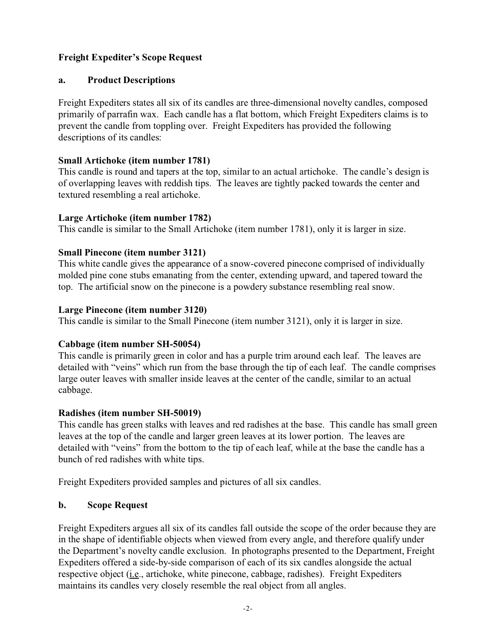# **Freight Expediter's Scope Request**

## **a. Product Descriptions**

Freight Expediters states all six of its candles are three-dimensional novelty candles, composed primarily of parrafin wax. Each candle has a flat bottom, which Freight Expediters claims is to prevent the candle from toppling over. Freight Expediters has provided the following descriptions of its candles:

### **Small Artichoke (item number 1781)**

This candle is round and tapers at the top, similar to an actual artichoke. The candle's design is of overlapping leaves with reddish tips. The leaves are tightly packed towards the center and textured resembling a real artichoke.

### **Large Artichoke (item number 1782)**

This candle is similar to the Small Artichoke (item number 1781), only it is larger in size.

### **Small Pinecone (item number 3121)**

This white candle gives the appearance of a snow-covered pinecone comprised of individually molded pine cone stubs emanating from the center, extending upward, and tapered toward the top. The artificial snow on the pinecone is a powdery substance resembling real snow.

### **Large Pinecone (item number 3120)**

This candle is similar to the Small Pinecone (item number 3121), only it is larger in size.

## **Cabbage (item number SH-50054)**

This candle is primarily green in color and has a purple trim around each leaf. The leaves are detailed with "veins" which run from the base through the tip of each leaf. The candle comprises large outer leaves with smaller inside leaves at the center of the candle, similar to an actual cabbage.

### **Radishes (item number SH-50019)**

This candle has green stalks with leaves and red radishes at the base. This candle has small green leaves at the top of the candle and larger green leaves at its lower portion. The leaves are detailed with "veins" from the bottom to the tip of each leaf, while at the base the candle has a bunch of red radishes with white tips.

Freight Expediters provided samples and pictures of all six candles.

## **b. Scope Request**

Freight Expediters argues all six of its candles fall outside the scope of the order because they are in the shape of identifiable objects when viewed from every angle, and therefore qualify under the Department's novelty candle exclusion. In photographs presented to the Department, Freight Expediters offered a side-by-side comparison of each of its six candles alongside the actual respective object (*i.e.*, artichoke, white pinecone, cabbage, radishes). Freight Expediters maintains its candles very closely resemble the real object from all angles.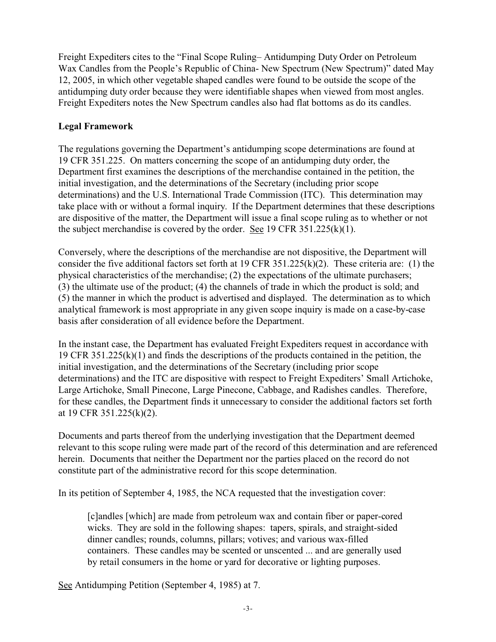Freight Expediters cites to the "Final Scope Ruling– Antidumping Duty Order on Petroleum Wax Candles from the People's Republic of China- New Spectrum (New Spectrum)" dated May 12, 2005, in which other vegetable shaped candles were found to be outside the scope of the antidumping duty order because they were identifiable shapes when viewed from most angles. Freight Expediters notes the New Spectrum candles also had flat bottoms as do its candles.

## **Legal Framework**

The regulations governing the Department's antidumping scope determinations are found at 19 CFR 351.225. On matters concerning the scope of an antidumping duty order, the Department first examines the descriptions of the merchandise contained in the petition, the initial investigation, and the determinations of the Secretary (including prior scope determinations) and the U.S. International Trade Commission (ITC). This determination may take place with or without a formal inquiry. If the Department determines that these descriptions are dispositive of the matter, the Department will issue a final scope ruling as to whether or not the subject merchandise is covered by the order. See 19 CFR  $351.225(k)(1)$ .

Conversely, where the descriptions of the merchandise are not dispositive, the Department will consider the five additional factors set forth at 19 CFR 351.225(k)(2). These criteria are: (1) the physical characteristics of the merchandise; (2) the expectations of the ultimate purchasers; (3) the ultimate use of the product; (4) the channels of trade in which the product is sold; and (5) the manner in which the product is advertised and displayed. The determination as to which analytical framework is most appropriate in any given scope inquiry is made on a case-by-case basis after consideration of all evidence before the Department.

In the instant case, the Department has evaluated Freight Expediters request in accordance with 19 CFR 351.225(k)(1) and finds the descriptions of the products contained in the petition, the initial investigation, and the determinations of the Secretary (including prior scope determinations) and the ITC are dispositive with respect to Freight Expediters' Small Artichoke, Large Artichoke, Small Pinecone, Large Pinecone, Cabbage, and Radishes candles. Therefore, for these candles, the Department finds it unnecessary to consider the additional factors set forth at 19 CFR 351.225(k)(2).

Documents and parts thereof from the underlying investigation that the Department deemed relevant to this scope ruling were made part of the record of this determination and are referenced herein. Documents that neither the Department nor the parties placed on the record do not constitute part of the administrative record for this scope determination.

In its petition of September 4, 1985, the NCA requested that the investigation cover:

[c]andles [which] are made from petroleum wax and contain fiber or paper-cored wicks. They are sold in the following shapes: tapers, spirals, and straight-sided dinner candles; rounds, columns, pillars; votives; and various wax-filled containers. These candles may be scented or unscented ... and are generally used by retail consumers in the home or yard for decorative or lighting purposes.

See Antidumping Petition (September 4, 1985) at 7.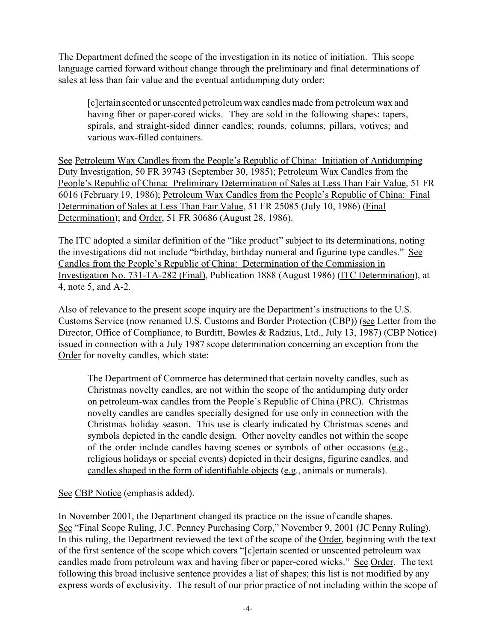The Department defined the scope of the investigation in its notice of initiation. This scope language carried forward without change through the preliminary and final determinations of sales at less than fair value and the eventual antidumping duty order:

[c]ertain scented or unscented petroleum wax candles made from petroleum wax and having fiber or paper-cored wicks. They are sold in the following shapes: tapers, spirals, and straight-sided dinner candles; rounds, columns, pillars, votives; and various wax-filled containers.

See Petroleum Wax Candles from the People's Republic of China: Initiation of Antidumping Duty Investigation, 50 FR 39743 (September 30, 1985); Petroleum Wax Candles from the People's Republic of China: Preliminary Determination of Sales at Less Than Fair Value, 51 FR 6016 (February 19, 1986); Petroleum Wax Candles from the People's Republic of China: Final Determination of Sales at Less Than Fair Value, 51 FR 25085 (July 10, 1986) (Final Determination); and Order, 51 FR 30686 (August 28, 1986).

The ITC adopted a similar definition of the "like product" subject to its determinations, noting the investigations did not include "birthday, birthday numeral and figurine type candles." See Candles from the People's Republic of China: Determination of the Commission in Investigation No. 731-TA-282 (Final), Publication 1888 (August 1986) (ITC Determination), at 4, note 5, and A-2.

Also of relevance to the present scope inquiry are the Department's instructions to the U.S. Customs Service (now renamed U.S. Customs and Border Protection (CBP)) (see Letter from the Director, Office of Compliance, to Burditt, Bowles & Radzius, Ltd., July 13, 1987) (CBP Notice) issued in connection with a July 1987 scope determination concerning an exception from the Order for novelty candles, which state:

The Department of Commerce has determined that certain novelty candles, such as Christmas novelty candles, are not within the scope of the antidumping duty order on petroleum-wax candles from the People's Republic of China (PRC). Christmas novelty candles are candles specially designed for use only in connection with the Christmas holiday season. This use is clearly indicated by Christmas scenes and symbols depicted in the candle design. Other novelty candles not within the scope of the order include candles having scenes or symbols of other occasions (e.g., religious holidays or special events) depicted in their designs, figurine candles, and candles shaped in the form of identifiable objects (e.g., animals or numerals).

## See CBP Notice (emphasis added).

In November 2001, the Department changed its practice on the issue of candle shapes. See "Final Scope Ruling, J.C. Penney Purchasing Corp," November 9, 2001 (JC Penny Ruling). In this ruling, the Department reviewed the text of the scope of the Order, beginning with the text of the first sentence of the scope which covers "[c]ertain scented or unscented petroleum wax candles made from petroleum wax and having fiber or paper-cored wicks." See Order. The text following this broad inclusive sentence provides a list of shapes; this list is not modified by any express words of exclusivity. The result of our prior practice of not including within the scope of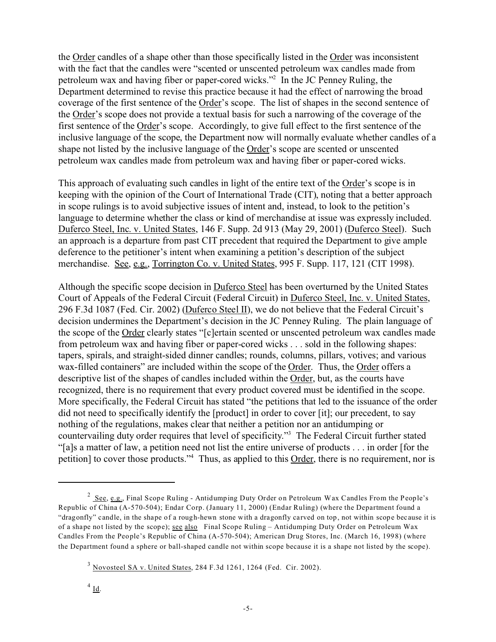the Order candles of a shape other than those specifically listed in the Order was inconsistent with the fact that the candles were "scented or unscented petroleum wax candles made from petroleum wax and having fiber or paper-cored wicks."<sup>2</sup> In the JC Penney Ruling, the Department determined to revise this practice because it had the effect of narrowing the broad coverage of the first sentence of the Order's scope. The list of shapes in the second sentence of the Order's scope does not provide a textual basis for such a narrowing of the coverage of the first sentence of the Order's scope. Accordingly, to give full effect to the first sentence of the inclusive language of the scope, the Department now will normally evaluate whether candles of a shape not listed by the inclusive language of the Order's scope are scented or unscented petroleum wax candles made from petroleum wax and having fiber or paper-cored wicks.

This approach of evaluating such candles in light of the entire text of the Order's scope is in keeping with the opinion of the Court of International Trade (CIT), noting that a better approach in scope rulings is to avoid subjective issues of intent and, instead, to look to the petition's language to determine whether the class or kind of merchandise at issue was expressly included. Duferco Steel, Inc. v. United States, 146 F. Supp. 2d 913 (May 29, 2001) (Duferco Steel). Such an approach is a departure from past CIT precedent that required the Department to give ample deference to the petitioner's intent when examining a petition's description of the subject merchandise. See, e.g., Torrington Co. v. United States, 995 F. Supp. 117, 121 (CIT 1998).

Although the specific scope decision in Duferco Steel has been overturned by the United States Court of Appeals of the Federal Circuit (Federal Circuit) in Duferco Steel, Inc. v. United States, 296 F.3d 1087 (Fed. Cir. 2002) (Duferco Steel II), we do not believe that the Federal Circuit's decision undermines the Department's decision in the JC Penney Ruling. The plain language of the scope of the Order clearly states "[c]ertain scented or unscented petroleum wax candles made from petroleum wax and having fiber or paper-cored wicks . . . sold in the following shapes: tapers, spirals, and straight-sided dinner candles; rounds, columns, pillars, votives; and various wax-filled containers" are included within the scope of the Order. Thus, the Order offers a descriptive list of the shapes of candles included within the Order, but, as the courts have recognized, there is no requirement that every product covered must be identified in the scope. More specifically, the Federal Circuit has stated "the petitions that led to the issuance of the order did not need to specifically identify the [product] in order to cover [it]; our precedent, to say nothing of the regulations, makes clear that neither a petition nor an antidumping or countervailing duty order requires that level of specificity."<sup>3</sup> The Federal Circuit further stated "[a]s a matter of law, a petition need not list the entire universe of products . . . in order [for the petition] to cover those products."<sup>4</sup> Thus, as applied to this Order, there is no requirement, nor is

 $^2$  See, e.g., Final Scope Ruling - Antidumping Duty Order on Petroleum Wax Candles From the People's Republic of China (A-570-504); Endar Corp. (January 11, 2000) (Endar Ruling) (where the Department found a "dragonfly" candle, in the shape of a rough-hewn stone with a dragonfly carved on top, not within scope because it is of a shape not listed by the scope); see also Final Scope Ruling – Antidumping Duty Order on Petroleum Wax Candles From the People's Republic of China (A-570-504); American Drug Stores, Inc. (March 16, 1998) (where the Department found a sphere or ball-shaped candle not within scope because it is a shape not listed by the scope).

 $3$  Novosteel SA v. United States, 284 F.3d 1261, 1264 (Fed. Cir. 2002).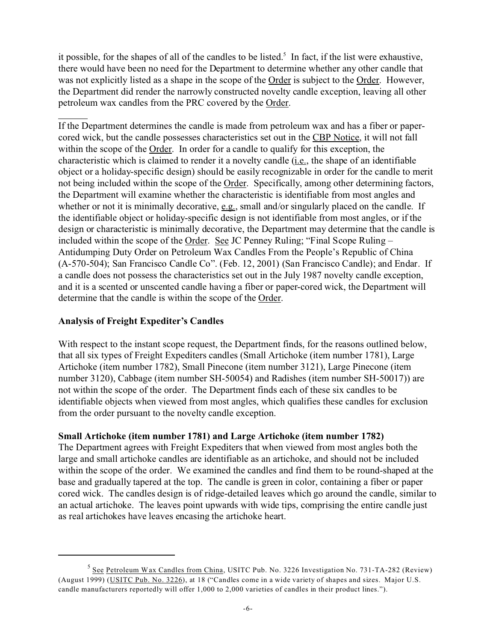it possible, for the shapes of all of the candles to be listed.<sup>5</sup> In fact, if the list were exhaustive, there would have been no need for the Department to determine whether any other candle that was not explicitly listed as a shape in the scope of the Order is subject to the Order. However, the Department did render the narrowly constructed novelty candle exception, leaving all other petroleum wax candles from the PRC covered by the Order.

If the Department determines the candle is made from petroleum wax and has a fiber or papercored wick, but the candle possesses characteristics set out in the CBP Notice, it will not fall within the scope of the Order. In order for a candle to qualify for this exception, the characteristic which is claimed to render it a novelty candle (i.e., the shape of an identifiable object or a holiday-specific design) should be easily recognizable in order for the candle to merit not being included within the scope of the Order. Specifically, among other determining factors, the Department will examine whether the characteristic is identifiable from most angles and whether or not it is minimally decorative, e.g., small and/or singularly placed on the candle. If the identifiable object or holiday-specific design is not identifiable from most angles, or if the design or characteristic is minimally decorative, the Department may determine that the candle is included within the scope of the Order. See JC Penney Ruling; "Final Scope Ruling – Antidumping Duty Order on Petroleum Wax Candles From the People's Republic of China (A-570-504); San Francisco Candle Co". (Feb. 12, 2001) (San Francisco Candle); and Endar. If a candle does not possess the characteristics set out in the July 1987 novelty candle exception, and it is a scented or unscented candle having a fiber or paper-cored wick, the Department will determine that the candle is within the scope of the Order.

## **Analysis of Freight Expediter's Candles**

With respect to the instant scope request, the Department finds, for the reasons outlined below, that all six types of Freight Expediters candles (Small Artichoke (item number 1781), Large Artichoke (item number 1782), Small Pinecone (item number 3121), Large Pinecone (item number 3120), Cabbage (item number SH-50054) and Radishes (item number SH-50017)) are not within the scope of the order. The Department finds each of these six candles to be identifiable objects when viewed from most angles, which qualifies these candles for exclusion from the order pursuant to the novelty candle exception.

## **Small Artichoke (item number 1781) and Large Artichoke (item number 1782)**

The Department agrees with Freight Expediters that when viewed from most angles both the large and small artichoke candles are identifiable as an artichoke, and should not be included within the scope of the order. We examined the candles and find them to be round-shaped at the base and gradually tapered at the top. The candle is green in color, containing a fiber or paper cored wick. The candles design is of ridge-detailed leaves which go around the candle, similar to an actual artichoke. The leaves point upwards with wide tips, comprising the entire candle just as real artichokes have leaves encasing the artichoke heart.

<sup>&</sup>lt;sup>5</sup> See Petroleum Wax Candles from China, USITC Pub. No. 3226 Investigation No. 731-TA-282 (Review) (August 1999) (USITC Pub. No. 3226), at 18 ("Candles come in a wide variety of shapes and sizes. Major U.S. candle manufacturers reportedly will offer 1,000 to 2,000 varieties of candles in their product lines.").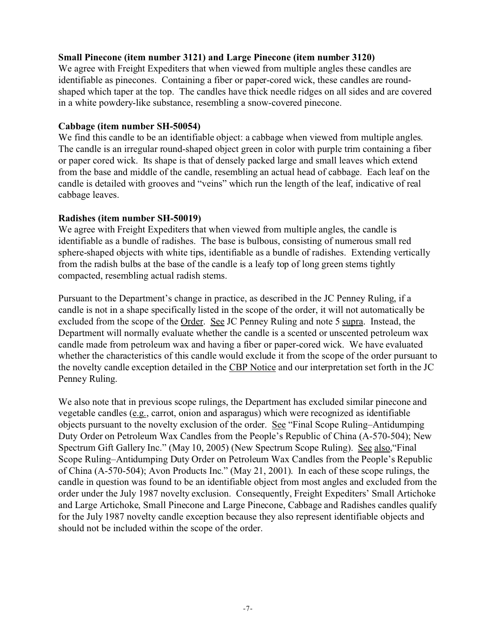### **Small Pinecone (item number 3121) and Large Pinecone (item number 3120)**

We agree with Freight Expediters that when viewed from multiple angles these candles are identifiable as pinecones. Containing a fiber or paper-cored wick, these candles are roundshaped which taper at the top. The candles have thick needle ridges on all sides and are covered in a white powdery-like substance, resembling a snow-covered pinecone.

### **Cabbage (item number SH-50054)**

We find this candle to be an identifiable object: a cabbage when viewed from multiple angles. The candle is an irregular round-shaped object green in color with purple trim containing a fiber or paper cored wick. Its shape is that of densely packed large and small leaves which extend from the base and middle of the candle, resembling an actual head of cabbage. Each leaf on the candle is detailed with grooves and "veins" which run the length of the leaf, indicative of real cabbage leaves.

## **Radishes (item number SH-50019)**

We agree with Freight Expediters that when viewed from multiple angles, the candle is identifiable as a bundle of radishes. The base is bulbous, consisting of numerous small red sphere-shaped objects with white tips, identifiable as a bundle of radishes. Extending vertically from the radish bulbs at the base of the candle is a leafy top of long green stems tightly compacted, resembling actual radish stems.

Pursuant to the Department's change in practice, as described in the JC Penney Ruling, if a candle is not in a shape specifically listed in the scope of the order, it will not automatically be excluded from the scope of the Order. See JC Penney Ruling and note 5 supra. Instead, the Department will normally evaluate whether the candle is a scented or unscented petroleum wax candle made from petroleum wax and having a fiber or paper-cored wick. We have evaluated whether the characteristics of this candle would exclude it from the scope of the order pursuant to the novelty candle exception detailed in the CBP Notice and our interpretation set forth in the JC Penney Ruling.

We also note that in previous scope rulings, the Department has excluded similar pinecone and vegetable candles (e.g., carrot, onion and asparagus) which were recognized as identifiable objects pursuant to the novelty exclusion of the order. See "Final Scope Ruling–Antidumping Duty Order on Petroleum Wax Candles from the People's Republic of China (A-570-504); New Spectrum Gift Gallery Inc." (May 10, 2005) (New Spectrum Scope Ruling). See also,"Final Scope Ruling–Antidumping Duty Order on Petroleum Wax Candles from the People's Republic of China (A-570-504); Avon Products Inc." (May 21, 2001). In each of these scope rulings, the candle in question was found to be an identifiable object from most angles and excluded from the order under the July 1987 novelty exclusion. Consequently, Freight Expediters' Small Artichoke and Large Artichoke, Small Pinecone and Large Pinecone, Cabbage and Radishes candles qualify for the July 1987 novelty candle exception because they also represent identifiable objects and should not be included within the scope of the order.